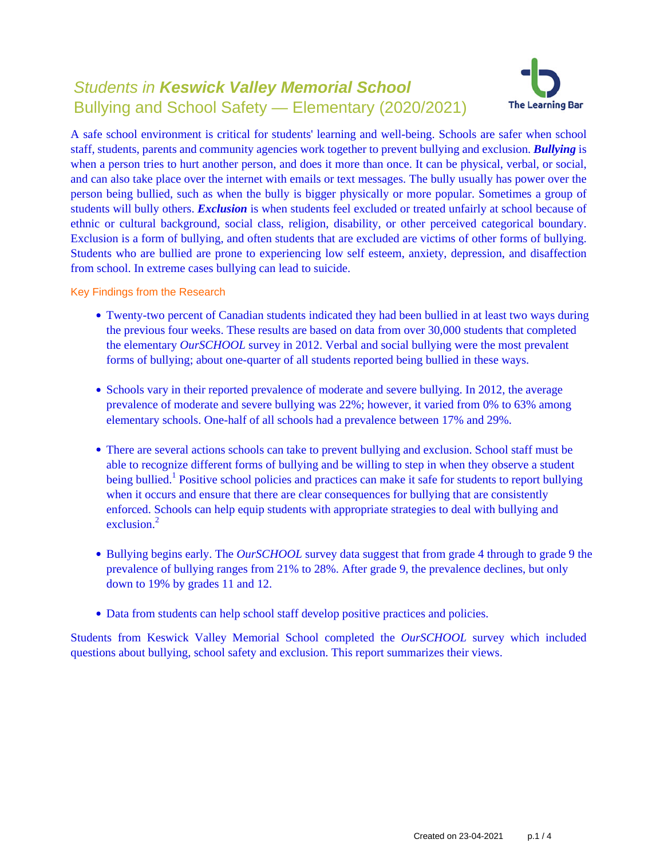# Students in **Keswick Valley Memorial School** Bullying and School Safety — Elementary (2020/2021)



A safe school environment is critical for students' learning and well-being. Schools are safer when school staff, students, parents and community agencies work together to prevent bullying and exclusion. *Bullying* is when a person tries to hurt another person, and does it more than once. It can be physical, verbal, or social, and can also take place over the internet with emails or text messages. The bully usually has power over the person being bullied, such as when the bully is bigger physically or more popular. Sometimes a group of students will bully others. *Exclusion* is when students feel excluded or treated unfairly at school because of ethnic or cultural background, social class, religion, disability, or other perceived categorical boundary. Exclusion is a form of bullying, and often students that are excluded are victims of other forms of bullying. Students who are bullied are prone to experiencing low self esteem, anxiety, depression, and disaffection from school. In extreme cases bullying can lead to suicide.

Key Findings from the Research

- Twenty-two percent of Canadian students indicated they had been bullied in at least two ways during the previous four weeks. These results are based on data from over 30,000 students that completed the elementary *OurSCHOOL* survey in 2012. Verbal and social bullying were the most prevalent forms of bullying; about one-quarter of all students reported being bullied in these ways.
- Schools vary in their reported prevalence of moderate and severe bullying. In 2012, the average prevalence of moderate and severe bullying was 22%; however, it varied from 0% to 63% among elementary schools. One-half of all schools had a prevalence between 17% and 29%.
- There are several actions schools can take to prevent bullying and exclusion. School staff must be able to recognize different forms of bullying and be willing to step in when they observe a student being bullied.<sup>1</sup> Positive school policies and practices can make it safe for students to report bullying when it occurs and ensure that there are clear consequences for bullying that are consistently enforced. Schools can help equip students with appropriate strategies to deal with bullying and exclusion $^2$
- Bullying begins early. The *OurSCHOOL* survey data suggest that from grade 4 through to grade 9 the prevalence of bullying ranges from 21% to 28%. After grade 9, the prevalence declines, but only down to 19% by grades 11 and 12.
- Data from students can help school staff develop positive practices and policies.

Students from Keswick Valley Memorial School completed the *OurSCHOOL* survey which included questions about bullying, school safety and exclusion. This report summarizes their views.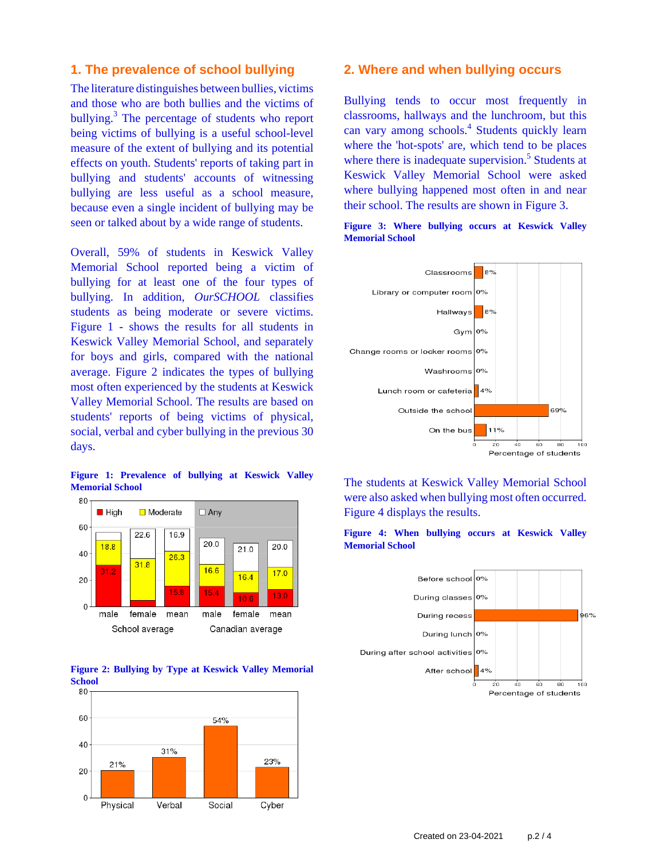## **1. The prevalence of school bullying**

The literature distinguishes between bullies, victims and those who are both bullies and the victims of bullying.<sup>3</sup> The percentage of students who report being victims of bullying is a useful school-level measure of the extent of bullying and its potential effects on youth. Students' reports of taking part in bullying and students' accounts of witnessing bullying are less useful as a school measure, because even a single incident of bullying may be seen or talked about by a wide range of students.

Overall, 59% of students in Keswick Valley Memorial School reported being a victim of bullying for at least one of the four types of bullying. In addition, *OurSCHOOL* classifies students as being moderate or severe victims. Figure 1 - shows the results for all students in Keswick Valley Memorial School, and separately for boys and girls, compared with the national average. Figure 2 indicates the types of bullying most often experienced by the students at Keswick Valley Memorial School. The results are based on students' reports of being victims of physical, social, verbal and cyber bullying in the previous 30 days.

**Figure 1: Prevalence of bullying at Keswick Valley Memorial School**







### **2. Where and when bullying occurs**

Bullying tends to occur most frequently in classrooms, hallways and the lunchroom, but this can vary among schools.<sup>4</sup> Students quickly learn where the 'hot-spots' are, which tend to be places where there is inadequate supervision.<sup>5</sup> Students at Keswick Valley Memorial School were asked where bullying happened most often in and near their school. The results are shown in Figure 3.





The students at Keswick Valley Memorial School were also asked when bullying most often occurred. Figure 4 displays the results.





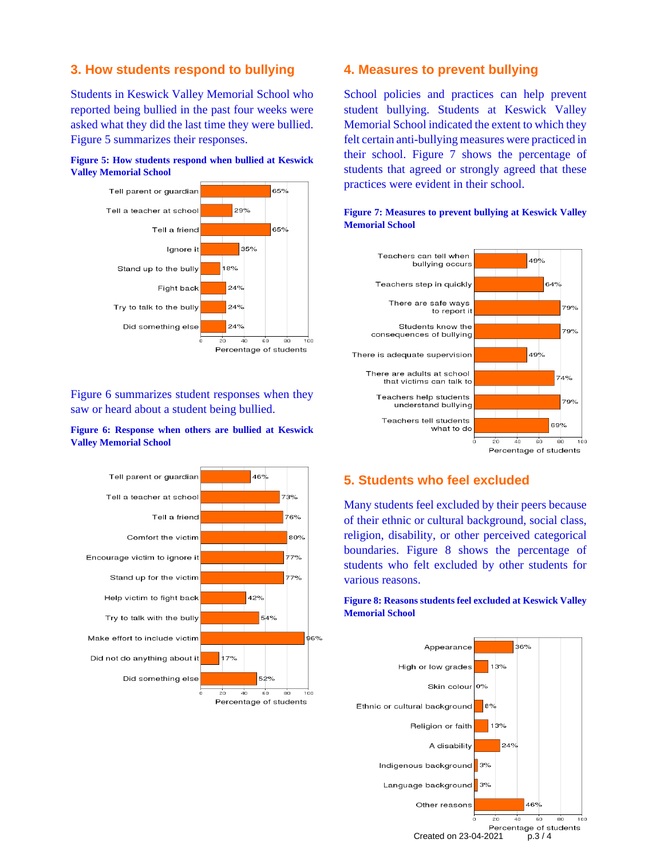# **3. How students respond to bullying**

Students in Keswick Valley Memorial School who reported being bullied in the past four weeks were asked what they did the last time they were bullied. Figure 5 summarizes their responses.





Figure 6 summarizes student responses when they saw or heard about a student being bullied.

### **Figure 6: Response when others are bullied at Keswick Valley Memorial School**



### **4. Measures to prevent bullying**

School policies and practices can help prevent student bullying. Students at Keswick Valley Memorial School indicated the extent to which they felt certain anti-bullying measures were practiced in their school. Figure 7 shows the percentage of students that agreed or strongly agreed that these practices were evident in their school.



### **Figure 7: Measures to prevent bullying at Keswick Valley Memorial School**

# **5. Students who feel excluded**

Many students feel excluded by their peers because of their ethnic or cultural background, social class, religion, disability, or other perceived categorical boundaries. Figure 8 shows the percentage of students who felt excluded by other students for various reasons.

### **Figure 8: Reasons students feel excluded at Keswick Valley Memorial School**